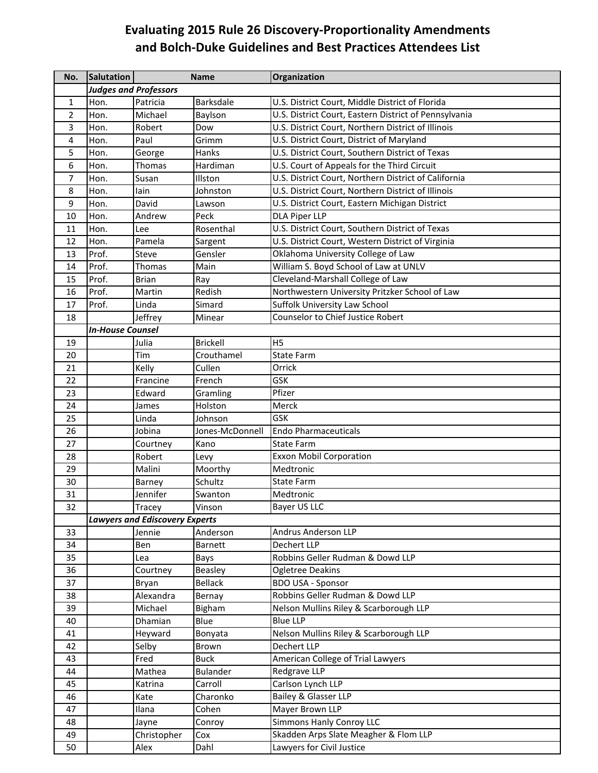## **Evaluating 2015 Rule 26 Discovery‐Proportionality Amendments and Bolch‐Duke Guidelines and Best Practices Attendees List**

| No.             | Salutation                   |                                       | <b>Name</b>     | Organization                                          |  |  |
|-----------------|------------------------------|---------------------------------------|-----------------|-------------------------------------------------------|--|--|
|                 | <b>Judges and Professors</b> |                                       |                 |                                                       |  |  |
| $\mathbf{1}$    | Hon.                         | Patricia                              | Barksdale       | U.S. District Court, Middle District of Florida       |  |  |
| $\overline{2}$  | Hon.                         | Michael                               | Baylson         | U.S. District Court, Eastern District of Pennsylvania |  |  |
| 3               | Hon.                         | Robert                                | Dow             | U.S. District Court, Northern District of Illinois    |  |  |
| 4               | Hon.                         | Paul                                  | Grimm           | U.S. District Court, District of Maryland             |  |  |
| 5               | Hon.                         | George                                | Hanks           | U.S. District Court, Southern District of Texas       |  |  |
| 6               | Hon.                         | Thomas                                | Hardiman        | U.S. Court of Appeals for the Third Circuit           |  |  |
| $\overline{7}$  | Hon.                         | Susan                                 | Illston         | U.S. District Court, Northern District of California  |  |  |
| 8               | Hon.                         | lain                                  | Johnston        | U.S. District Court, Northern District of Illinois    |  |  |
| 9               | Hon.                         | David                                 | Lawson          | U.S. District Court, Eastern Michigan District        |  |  |
| 10              | Hon.                         | Andrew                                | Peck            | <b>DLA Piper LLP</b>                                  |  |  |
| 11              | Hon.                         | Lee                                   | Rosenthal       | U.S. District Court, Southern District of Texas       |  |  |
| 12              | Hon.                         | Pamela                                | Sargent         | U.S. District Court, Western District of Virginia     |  |  |
| 13              | Prof.                        | Steve                                 | Gensler         | Oklahoma University College of Law                    |  |  |
| 14              | Prof.                        | Thomas                                | Main            | William S. Boyd School of Law at UNLV                 |  |  |
| 15              | Prof.                        | <b>Brian</b>                          | Ray             | Cleveland-Marshall College of Law                     |  |  |
| 16              | Prof.                        | Martin                                | Redish          | Northwestern University Pritzker School of Law        |  |  |
| 17              | Prof.                        | Linda                                 | Simard          | Suffolk University Law School                         |  |  |
| 18              |                              | Jeffrey                               | Minear          | <b>Counselor to Chief Justice Robert</b>              |  |  |
|                 | <b>In-House Counsel</b>      |                                       |                 |                                                       |  |  |
| 19              |                              | Julia                                 | <b>Brickell</b> | H <sub>5</sub>                                        |  |  |
| 20              |                              | Tim                                   | Crouthamel      | <b>State Farm</b>                                     |  |  |
| 21              |                              | Kelly                                 | Cullen          | Orrick                                                |  |  |
| 22              |                              | Francine                              | French          | <b>GSK</b>                                            |  |  |
| 23              |                              | Edward                                | Gramling        | Pfizer                                                |  |  |
| 24              |                              | James                                 | Holston         | Merck                                                 |  |  |
| 25              |                              | Linda                                 | Johnson         | GSK                                                   |  |  |
| 26              |                              | Jobina                                | Jones-McDonnell | <b>Endo Pharmaceuticals</b>                           |  |  |
| 27              |                              | Courtney                              | Kano            | <b>State Farm</b>                                     |  |  |
| 28              |                              | Robert                                | Levy            | <b>Exxon Mobil Corporation</b>                        |  |  |
| 29              |                              | Malini                                | Moorthy         | Medtronic                                             |  |  |
| 30              |                              | Barney                                | Schultz         | <b>State Farm</b>                                     |  |  |
| 31              |                              | Jennifer                              | Swanton         | Medtronic                                             |  |  |
| $\overline{32}$ |                              | Tracey                                | Vinson          | Bayer US LLC                                          |  |  |
|                 |                              | <b>Lawyers and Ediscovery Experts</b> |                 |                                                       |  |  |
| 33              |                              | Jennie                                | Anderson        | <b>Andrus Anderson LLP</b>                            |  |  |
| 34              |                              | Ben                                   | <b>Barnett</b>  | <b>Dechert LLP</b>                                    |  |  |
| 35              |                              | Lea                                   | Bays            | Robbins Geller Rudman & Dowd LLP                      |  |  |
| 36              |                              | Courtney                              | <b>Beasley</b>  | <b>Ogletree Deakins</b>                               |  |  |
| 37              |                              | Bryan                                 | <b>Bellack</b>  | <b>BDO USA - Sponsor</b>                              |  |  |
| 38              |                              | Alexandra                             | Bernay          | Robbins Geller Rudman & Dowd LLP                      |  |  |
| 39              |                              | Michael                               | Bigham          | Nelson Mullins Riley & Scarborough LLP                |  |  |
| 40              |                              | Dhamian                               | Blue            | <b>Blue LLP</b>                                       |  |  |
| 41              |                              | Heyward                               | Bonyata         | Nelson Mullins Riley & Scarborough LLP                |  |  |
| 42              |                              | Selby                                 | Brown           | Dechert LLP                                           |  |  |
| 43              |                              | Fred                                  | <b>Buck</b>     | American College of Trial Lawyers                     |  |  |
| 44              |                              | Mathea                                | <b>Bulander</b> | Redgrave LLP                                          |  |  |
| 45              |                              | Katrina                               | Carroll         | Carlson Lynch LLP                                     |  |  |
| 46              |                              | Kate                                  | Charonko        | Bailey & Glasser LLP                                  |  |  |
| 47              |                              | Ilana                                 | Cohen           | Mayer Brown LLP                                       |  |  |
| 48              |                              | Jayne                                 | Conroy          | Simmons Hanly Conroy LLC                              |  |  |
| 49              |                              | Christopher                           | Cox             | Skadden Arps Slate Meagher & Flom LLP                 |  |  |
| 50              |                              | Alex                                  | Dahl            | Lawyers for Civil Justice                             |  |  |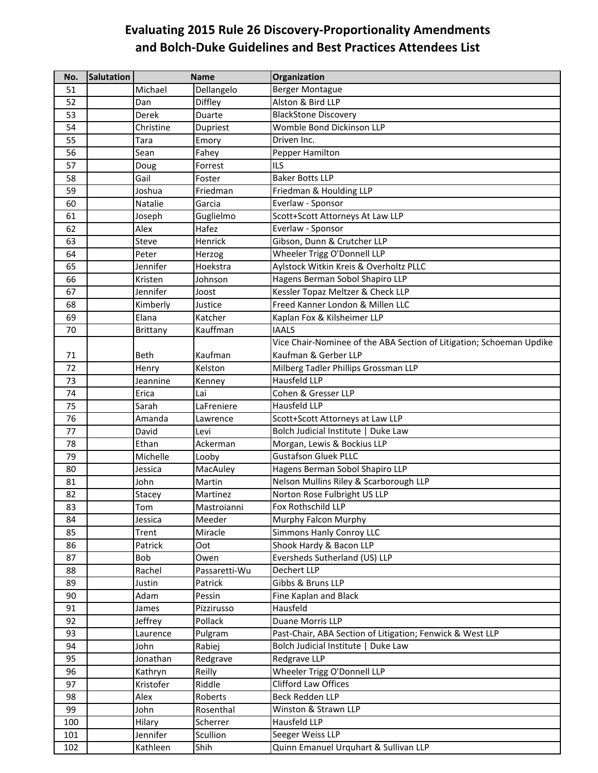## **Evaluating 2015 Rule 26 Discovery‐Proportionality Amendments and Bolch‐Duke Guidelines and Best Practices Attendees List**

| No. | <b>Salutation</b> | <b>Name</b> |               | Organization                                                         |
|-----|-------------------|-------------|---------------|----------------------------------------------------------------------|
| 51  |                   | Michael     | Dellangelo    | <b>Berger Montague</b>                                               |
| 52  |                   | Dan         | Diffley       | Alston & Bird LLP                                                    |
| 53  |                   | Derek       | Duarte        | <b>BlackStone Discovery</b>                                          |
| 54  |                   | Christine   | Dupriest      | Womble Bond Dickinson LLP                                            |
| 55  |                   | Tara        | Emory         | Driven Inc.                                                          |
| 56  |                   | Sean        | Fahey         | Pepper Hamilton                                                      |
| 57  |                   | Doug        | Forrest       | <b>ILS</b>                                                           |
| 58  |                   | Gail        | Foster        | <b>Baker Botts LLP</b>                                               |
| 59  |                   | Joshua      | Friedman      | Friedman & Houlding LLP                                              |
| 60  |                   | Natalie     | Garcia        | Everlaw - Sponsor                                                    |
| 61  |                   | Joseph      | Guglielmo     | Scott+Scott Attorneys At Law LLP                                     |
| 62  |                   | Alex        | Hafez         | Everlaw - Sponsor                                                    |
| 63  |                   | Steve       | Henrick       | Gibson, Dunn & Crutcher LLP                                          |
| 64  |                   | Peter       | Herzog        | Wheeler Trigg O'Donnell LLP                                          |
| 65  |                   | Jennifer    | Hoekstra      | Aylstock Witkin Kreis & Overholtz PLLC                               |
| 66  |                   | Kristen     | Johnson       | Hagens Berman Sobol Shapiro LLP                                      |
| 67  |                   | Jennifer    | Joost         | Kessler Topaz Meltzer & Check LLP                                    |
| 68  |                   | Kimberly    | Justice       | Freed Kanner London & Millen LLC                                     |
| 69  |                   | Elana       | Katcher       | Kaplan Fox & Kilsheimer LLP                                          |
| 70  |                   | Brittany    | Kauffman      | <b>IAALS</b>                                                         |
|     |                   |             |               | Vice Chair-Nominee of the ABA Section of Litigation; Schoeman Updike |
| 71  |                   | Beth        | Kaufman       | Kaufman & Gerber LLP                                                 |
| 72  |                   | Henry       | Kelston       | Milberg Tadler Phillips Grossman LLP                                 |
| 73  |                   | Jeannine    | Kenney        | <b>Hausfeld LLP</b>                                                  |
| 74  |                   | Erica       | Lai           | Cohen & Gresser LLP                                                  |
| 75  |                   | Sarah       | LaFreniere    | Hausfeld LLP                                                         |
| 76  |                   | Amanda      | Lawrence      | Scott+Scott Attorneys at Law LLP                                     |
| 77  |                   | David       | Levi          | Bolch Judicial Institute   Duke Law                                  |
| 78  |                   | Ethan       | Ackerman      | Morgan, Lewis & Bockius LLP                                          |
| 79  |                   | Michelle    | Looby         | <b>Gustafson Gluek PLLC</b>                                          |
| 80  |                   | Jessica     | MacAuley      | Hagens Berman Sobol Shapiro LLP                                      |
| 81  |                   | John        | Martin        | Nelson Mullins Riley & Scarborough LLP                               |
| 82  |                   | Stacey      | Martinez      | Norton Rose Fulbright US LLP                                         |
| 83  |                   | Tom         | Mastroianni   | Fox Rothschild LLP                                                   |
| 84  |                   | Jessica     | Meeder        | Murphy Falcon Murphy                                                 |
| 85  |                   | Trent       | Miracle       | <b>Simmons Hanly Conroy LLC</b>                                      |
| 86  |                   | Patrick     | Oot           | Shook Hardy & Bacon LLP                                              |
| 87  |                   | Bob         | Owen          | Eversheds Sutherland (US) LLP                                        |
| 88  |                   | Rachel      | Passaretti-Wu | Dechert LLP                                                          |
| 89  |                   | Justin      | Patrick       | Gibbs & Bruns LLP                                                    |
| 90  |                   | Adam        | Pessin        | Fine Kaplan and Black                                                |
| 91  |                   | James       | Pizzirusso    | Hausfeld                                                             |
| 92  |                   | Jeffrey     | Pollack       | Duane Morris LLP                                                     |
| 93  |                   | Laurence    | Pulgram       | Past-Chair, ABA Section of Litigation; Fenwick & West LLP            |
| 94  |                   | John        | Rabiej        | Bolch Judicial Institute   Duke Law                                  |
| 95  |                   | Jonathan    | Redgrave      | Redgrave LLP                                                         |
| 96  |                   | Kathryn     | Reilly        | Wheeler Trigg O'Donnell LLP                                          |
| 97  |                   | Kristofer   | Riddle        | Clifford Law Offices                                                 |
| 98  |                   | Alex        | Roberts       | <b>Beck Redden LLP</b>                                               |
| 99  |                   | John        | Rosenthal     | Winston & Strawn LLP                                                 |
| 100 |                   | Hilary      | Scherrer      | Hausfeld LLP                                                         |
| 101 |                   | Jennifer    | Scullion      | Seeger Weiss LLP                                                     |
| 102 |                   | Kathleen    | Shih          | Quinn Emanuel Urquhart & Sullivan LLP                                |